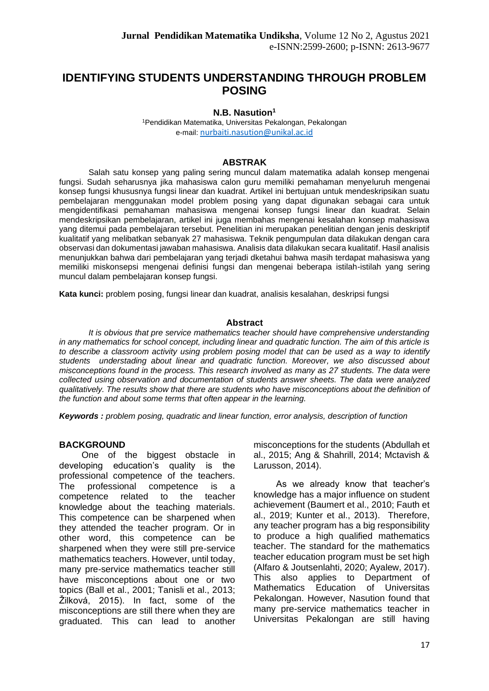# **IDENTIFYING STUDENTS UNDERSTANDING THROUGH PROBLEM POSING**

#### **N.B. Nasution<sup>1</sup>**

<sup>1</sup>Pendidikan Matematika, Universitas Pekalongan, Pekalongan e-mail: [nurbaiti.nasution@unikal.ac.id](mailto:nurbaiti.nasution@unikal.ac.id)

#### **ABSTRAK**

Salah satu konsep yang paling sering muncul dalam matematika adalah konsep mengenai fungsi. Sudah seharusnya jika mahasiswa calon guru memiliki pemahaman menyeluruh mengenai konsep fungsi khususnya fungsi linear dan kuadrat. Artikel ini bertujuan untuk mendeskripsikan suatu pembelajaran menggunakan model problem posing yang dapat digunakan sebagai cara untuk mengidentifikasi pemahaman mahasiswa mengenai konsep fungsi linear dan kuadrat. Selain mendeskripsikan pembelajaran, artikel ini juga membahas mengenai kesalahan konsep mahasiswa yang ditemui pada pembelajaran tersebut. Penelitian ini merupakan penelitian dengan jenis deskriptif kualitatif yang melibatkan sebanyak 27 mahasiswa. Teknik pengumpulan data dilakukan dengan cara observasi dan dokumentasi jawaban mahasiswa. Analisis data dilakukan secara kualitatif. Hasil analisis menunjukkan bahwa dari pembelajaran yang terjadi dketahui bahwa masih terdapat mahasiswa yang memiliki miskonsepsi mengenai definisi fungsi dan mengenai beberapa istilah-istilah yang sering muncul dalam pembelajaran konsep fungsi.

**Kata kunci:** problem posing, fungsi linear dan kuadrat, analisis kesalahan, deskripsi fungsi

#### **Abstract**

*It is obvious that pre service mathematics teacher should have comprehensive understanding in any mathematics for school concept, including linear and quadratic function. The aim of this article is to describe a classroom activity using problem posing model that can be used as a way to identify students understading about linear and quadratic function. Moreover, we also discussed about misconceptions found in the process. This research involved as many as 27 students. The data were collected using observation and documentation of students answer sheets. The data were analyzed qualitatively. The results show that there are students who have misconceptions about the definition of the function and about some terms that often appear in the learning.* 

*Keywords : problem posing, quadratic and linear function, error analysis, description of function*

#### **BACKGROUND**

One of the biggest obstacle in developing education's quality is the professional competence of the teachers. The professional competence is a competence related to the teacher knowledge about the teaching materials. This competence can be sharpened when they attended the teacher program. Or in other word, this competence can be sharpened when they were still pre-service mathematics teachers. However, until today, many pre-service mathematics teacher still have misconceptions about one or two topics (Ball et al., 2001; Tanisli et al., 2013; Žilková, 2015). In fact, some of the misconceptions are still there when they are graduated. This can lead to another misconceptions for the students (Abdullah et al., 2015; Ang & Shahrill, 2014; Mctavish & Larusson, 2014).

As we already know that teacher's knowledge has a major influence on student achievement (Baumert et al., 2010; Fauth et al., 2019; Kunter et al., 2013). Therefore, any teacher program has a big responsibility to produce a high qualified mathematics teacher. The standard for the mathematics teacher education program must be set high (Alfaro & Joutsenlahti, 2020; Ayalew, 2017). This also applies to Department of Mathematics Education of Universitas Pekalongan. However, Nasution found that many pre-service mathematics teacher in Universitas Pekalongan are still having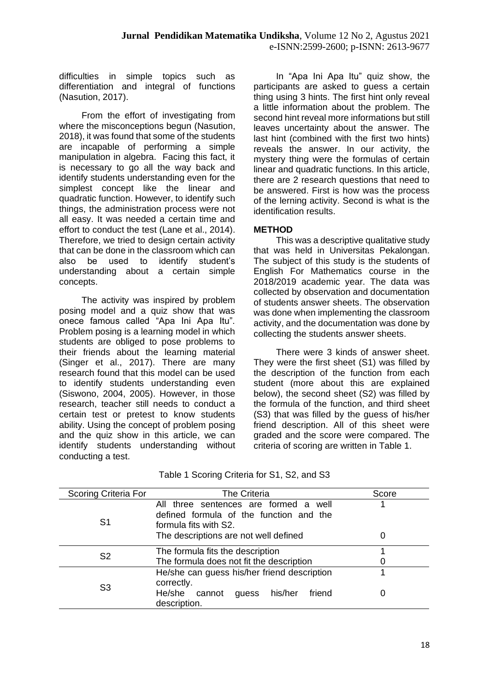difficulties in simple topics such as differentiation and integral of functions (Nasution, 2017).

From the effort of investigating from where the misconceptions begun (Nasution, 2018), it was found that some of the students are incapable of performing a simple manipulation in algebra. Facing this fact, it is necessary to go all the way back and identify students understanding even for the simplest concept like the linear and quadratic function. However, to identify such things, the administration process were not all easy. It was needed a certain time and effort to conduct the test (Lane et al., 2014). Therefore, we tried to design certain activity that can be done in the classroom which can also be used to identify student's understanding about a certain simple concepts.

The activity was inspired by problem posing model and a quiz show that was onece famous called "Apa Ini Apa Itu". Problem posing is a learning model in which students are obliged to pose problems to their friends about the learning material (Singer et al., 2017). There are many research found that this model can be used to identify students understanding even (Siswono, 2004, 2005). However, in those research, teacher still needs to conduct a certain test or pretest to know students ability. Using the concept of problem posing and the quiz show in this article, we can identify students understanding without conducting a test.

In "Apa Ini Apa Itu" quiz show, the participants are asked to guess a certain thing using 3 hints. The first hint only reveal a little information about the problem. The second hint reveal more informations but still leaves uncertainty about the answer. The last hint (combined with the first two hints) reveals the answer. In our activity, the mystery thing were the formulas of certain linear and quadratic functions. In this article, there are 2 research questions that need to be answered. First is how was the process of the lerning activity. Second is what is the identification results.

## **METHOD**

This was a descriptive qualitative study that was held in Universitas Pekalongan. The subject of this study is the students of English For Mathematics course in the 2018/2019 academic year. The data was collected by observation and documentation of students answer sheets. The observation was done when implementing the classroom activity, and the documentation was done by collecting the students answer sheets.

There were 3 kinds of answer sheet. They were the first sheet (S1) was filled by the description of the function from each student (more about this are explained below), the second sheet (S2) was filled by the formula of the function, and third sheet (S3) that was filled by the guess of his/her friend description. All of this sheet were graded and the score were compared. The criteria of scoring are written in Table 1.

| <b>Scoring Criteria For</b> | <b>The Criteria</b>                                                                                       | Score |
|-----------------------------|-----------------------------------------------------------------------------------------------------------|-------|
| S <sub>1</sub>              | All three sentences are formed a well<br>defined formula of the function and the<br>formula fits with S2. |       |
|                             | The descriptions are not well defined                                                                     |       |
| S <sub>2</sub>              | The formula fits the description                                                                          |       |
|                             | The formula does not fit the description                                                                  |       |
| S3                          | He/she can guess his/her friend description<br>correctly.                                                 |       |
|                             | He/she cannot<br>his/her<br>friend<br>guess<br>description.                                               |       |

|  | Table 1 Scoring Criteria for S1, S2, and S3 |  |  |  |  |  |
|--|---------------------------------------------|--|--|--|--|--|
|--|---------------------------------------------|--|--|--|--|--|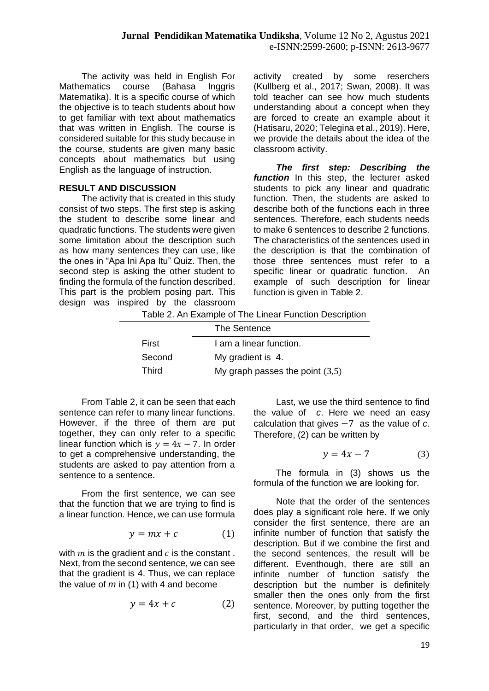The activity was held in English For Mathematics course (Bahasa Inggris Matematika). It is a specific course of which the objective is to teach students about how to get familiar with text about mathematics that was written in English. The course is considered suitable for this study because in the course, students are given many basic concepts about mathematics but using English as the language of instruction.

## **RESULT AND DISCUSSION**

The activity that is created in this study consist of two steps. The first step is asking the student to describe some linear and quadratic functions. The students were given some limitation about the description such as how many sentences they can use, like the ones in "Apa Ini Apa Itu" Quiz. Then, the second step is asking the other student to finding the formula of the function described. This part is the problem posing part. This design was inspired by the classroom

activity created by some reserchers (Kullberg et al., 2017; Swan, 2008). It was told teacher can see how much students understanding about a concept when they are forced to create an example about it (Hatisaru, 2020; Telegina et al., 2019). Here, we provide the details about the idea of the classroom activity.

*The first step: Describing the*  **function** In this step, the lecturer asked students to pick any linear and quadratic function. Then, the students are asked to describe both of the functions each in three sentences. Therefore, each students needs to make 6 sentences to describe 2 functions. The characteristics of the sentences used in the description is that the combination of those three sentences must refer to a specific linear or quadratic function. An example of such description for linear function is given in Table 2.

Table 2. An Example of The Linear Function Description

|        | The Sentence                      |  |
|--------|-----------------------------------|--|
| First  | I am a linear function.           |  |
| Second | My gradient is 4.                 |  |
| Third  | My graph passes the point $(3,5)$ |  |
|        |                                   |  |

From Table 2, it can be seen that each sentence can refer to many linear functions. However, if the three of them are put together, they can only refer to a specific linear function which is  $y = 4x - 7$ . In order to get a comprehensive understanding, the students are asked to pay attention from a sentence to a sentence.

From the first sentence, we can see that the function that we are trying to find is a linear function. Hence, we can use formula

$$
y = mx + c \tag{1}
$$

with  $m$  is the gradient and  $c$  is the constant. Next, from the second sentence, we can see that the gradient is 4. Thus, we can replace the value of *m* in (1) with 4 and become

$$
y = 4x + c \tag{2}
$$

Last, we use the third sentence to find the value of *c*. Here we need an easy calculation that gives −7 as the value of *c*. Therefore, (2) can be written by

$$
y = 4x - 7 \tag{3}
$$

The formula in (3) shows us the formula of the function we are looking for.

Note that the order of the sentences does play a significant role here. If we only consider the first sentence, there are an infinite number of function that satisfy the description. But if we combine the first and the second sentences, the result will be different. Eventhough, there are still an infinite number of function satisfy the description but the number is definitely smaller then the ones only from the first sentence. Moreover, by putting together the first, second, and the third sentences, particularly in that order, we get a specific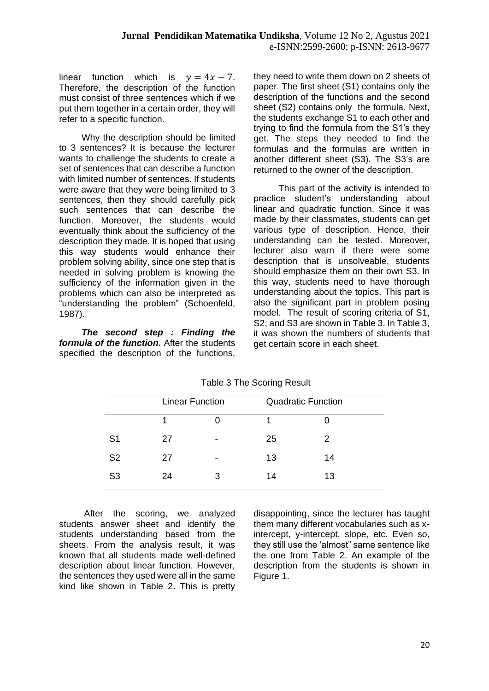linear function which is  $y = 4x - 7$ . Therefore, the description of the function must consist of three sentences which if we put them together in a certain order, they will refer to a specific function.

Why the description should be limited to 3 sentences? It is because the lecturer wants to challenge the students to create a set of sentences that can describe a function with limited number of sentences. If students were aware that they were being limited to 3 sentences, then they should carefully pick such sentences that can describe the function. Moreover, the students would eventually think about the sufficiency of the description they made. It is hoped that using this way students would enhance their problem solving ability, since one step that is needed in solving problem is knowing the sufficiency of the information given in the problems which can also be interpreted as "understanding the problem" (Schoenfeld, 1987).

*The second step : Finding the formula of the function.* After the students specified the description of the functions,

they need to write them down on 2 sheets of paper. The first sheet (S1) contains only the description of the functions and the second sheet (S2) contains only the formula. Next, the students exchange S1 to each other and trying to find the formula from the S1's they get. The steps they needed to find the formulas and the formulas are written in another different sheet (S3). The S3's are returned to the owner of the description.

This part of the activity is intended to practice student's understanding about linear and quadratic function. Since it was made by their classmates, students can get various type of description. Hence, their understanding can be tested. Moreover, lecturer also warn if there were some description that is unsolveable, students should emphasize them on their own S3. In this way, students need to have thorough understanding about the topics. This part is also the significant part in problem posing model. The result of scoring criteria of S1, S2, and S3 are shown in Table 3. In Table 3, it was shown the numbers of students that get certain score in each sheet.

|                |    | <b>Linear Function</b>   |    | <b>Quadratic Function</b> |  |
|----------------|----|--------------------------|----|---------------------------|--|
|                |    |                          |    |                           |  |
| S <sub>1</sub> | 27 | $\overline{\phantom{0}}$ | 25 | 2                         |  |
| S <sub>2</sub> | 27 | $\overline{\phantom{0}}$ | 13 | 14                        |  |
| S <sub>3</sub> | 24 | 3                        | 14 | 13                        |  |

Table 3 The Scoring Result

After the scoring, we analyzed students answer sheet and identify the students understanding based from the sheets. From the analysis result, it was known that all students made well-defined description about linear function. However, the sentences they used were all in the same kind like shown in Table 2. This is pretty

disappointing, since the lecturer has taught them many different vocabularies such as xintercept, y-intercept, slope, etc. Even so, they still use the 'almost" same sentence like the one from Table 2. An example of the description from the students is shown in Figure 1.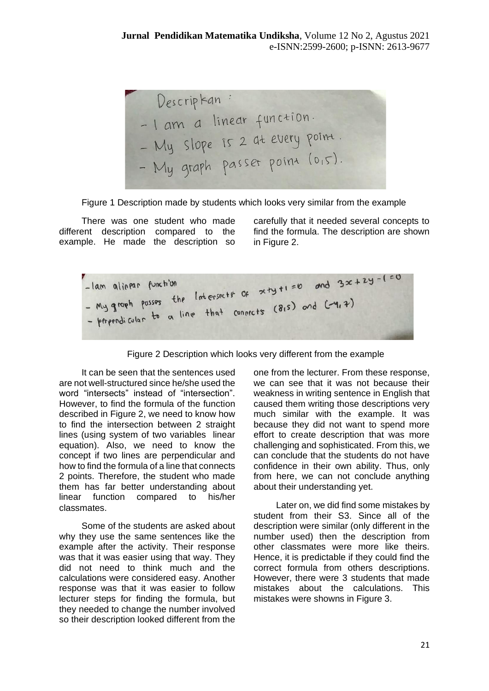Descriptan: -1 am a linear function. - 1 am a mean 1 - My graph passer point (0,5).

Figure 1 Description made by students which looks very similar from the example

There was one student who made different description compared to the example. He made the description so carefully that it needed several concepts to find the formula. The description are shown in Figure 2.



Figure 2 Description which looks very different from the example

It can be seen that the sentences used are not well-structured since he/she used the word "intersects" instead of "intersection". However, to find the formula of the function described in Figure 2, we need to know how to find the intersection between 2 straight lines (using system of two variables linear equation). Also, we need to know the concept if two lines are perpendicular and how to find the formula of a line that connects 2 points. Therefore, the student who made them has far better understanding about linear function compared to his/her classmates.

Some of the students are asked about why they use the same sentences like the example after the activity. Their response was that it was easier using that way. They did not need to think much and the calculations were considered easy. Another response was that it was easier to follow lecturer steps for finding the formula, but they needed to change the number involved so their description looked different from the

one from the lecturer. From these response, we can see that it was not because their weakness in writing sentence in English that caused them writing those descriptions very much similar with the example. It was because they did not want to spend more effort to create description that was more challenging and sophisticated. From this, we can conclude that the students do not have confidence in their own ability. Thus, only from here, we can not conclude anything about their understanding yet.

Later on, we did find some mistakes by student from their S3. Since all of the description were similar (only different in the number used) then the description from other classmates were more like theirs. Hence, it is predictable if they could find the correct formula from others descriptions. However, there were 3 students that made mistakes about the calculations. This mistakes were showns in Figure 3.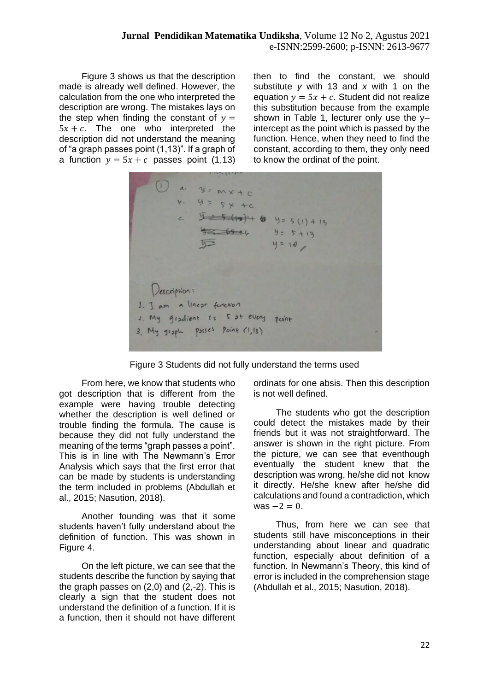Figure 3 shows us that the description made is already well defined. However, the calculation from the one who interpreted the description are wrong. The mistakes lays on the step when finding the constant of  $y =$  $5x + c$ . The one who interpreted the description did not understand the meaning of "a graph passes point (1,13)". If a graph of a function  $y = 5x + c$  passes point (1,13) then to find the constant, we should substitute *y* with 13 and *x* with 1 on the equation  $y = 5x + c$ . Student did not realize this substitution because from the example shown in Table 1, lecturer only use the yintercept as the point which is passed by the function. Hence, when they need to find the constant, according to them, they only need to know the ordinat of the point.

 $\frac{5.35(10)+6}{3.360(10)}$  $Y = 5(1) + 13$  $9 = 5 + 13$  $y = 10$ Description: 1. J am a linear function 1. My gradient is 5 at every point 3. My graph passes point (1,13)

Figure 3 Students did not fully understand the terms used

From here, we know that students who got description that is different from the example were having trouble detecting whether the description is well defined or trouble finding the formula. The cause is because they did not fully understand the meaning of the terms "graph passes a point". This is in line with The Newmann's Error Analysis which says that the first error that can be made by students is understanding the term included in problems (Abdullah et al., 2015; Nasution, 2018).

Another founding was that it some students haven't fully understand about the definition of function. This was shown in Figure 4.

On the left picture, we can see that the students describe the function by saying that the graph passes on (2,0) and (2,-2). This is clearly a sign that the student does not understand the definition of a function. If it is a function, then it should not have different ordinats for one absis. Then this description is not well defined.

The students who got the description could detect the mistakes made by their friends but it was not straightforward. The answer is shown in the right picture. From the picture, we can see that eventhough eventually the student knew that the description was wrong, he/she did not know it directly. He/she knew after he/she did calculations and found a contradiction, which was  $-2 = 0$ .

Thus, from here we can see that students still have misconceptions in their understanding about linear and quadratic function, especially about definition of a function. In Newmann's Theory, this kind of error is included in the comprehension stage (Abdullah et al., 2015; Nasution, 2018).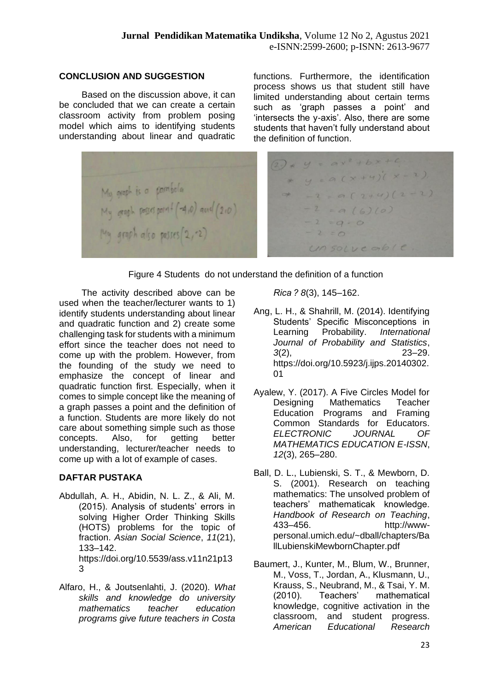## **CONCLUSION AND SUGGESTION**

Based on the discussion above, it can be concluded that we can create a certain classroom activity from problem posing model which aims to identifying students understanding about linear and quadratic functions. Furthermore, the identification process shows us that student still have limited understanding about certain terms such as 'graph passes a point' and 'intersects the y-axis'. Also, there are some students that haven't fully understand about the definition of function.

 $2) * y = ax^2 + bx + c$ \* y =  $a(x+4)(x-2)$ My graph is a parabola<br>My graph posses parall (-4,0) and (2,0)  $7 - 2 = 9(2+4)(2-2)$  $-2 = a(6)(0)$  $-2 = 0.0$ My graph also posses (2, 2)  $-2=0$  $unsourceable.$ 

Figure 4 Students do not understand the definition of a function

The activity described above can be used when the teacher/lecturer wants to 1) identify students understanding about linear and quadratic function and 2) create some challenging task for students with a minimum effort since the teacher does not need to come up with the problem. However, from the founding of the study we need to emphasize the concept of linear and quadratic function first. Especially, when it comes to simple concept like the meaning of a graph passes a point and the definition of a function. Students are more likely do not care about something simple such as those concepts. Also, for getting better understanding, lecturer/teacher needs to come up with a lot of example of cases.

## **DAFTAR PUSTAKA**

- Abdullah, A. H., Abidin, N. L. Z., & Ali, M. (2015). Analysis of students' errors in solving Higher Order Thinking Skills (HOTS) problems for the topic of fraction. *Asian Social Science*, *11*(21), 133–142. https://doi.org/10.5539/ass.v11n21p13 3
- Alfaro, H., & Joutsenlahti, J. (2020). *What skills and knowledge do university mathematics teacher education programs give future teachers in Costa*

*Rica ? 8*(3), 145–162.

- Ang, L. H., & Shahrill, M. (2014). Identifying Students' Specific Misconceptions in Learning Probability. *International Journal of Probability and Statistics*, *3*(2), 23–29. https://doi.org/10.5923/j.ijps.20140302. 01
- Ayalew, Y. (2017). A Five Circles Model for Designing Mathematics Teacher Education Programs and Framing Common Standards for Educators. *ELECTRONIC JOURNAL OF MATHEMATICS EDUCATION E-ISSN*, *12*(3), 265–280.
- Ball, D. L., Lubienski, S. T., & Mewborn, D. S. (2001). Research on teaching mathematics: The unsolved problem of teachers' mathematicak knowledge. *Handbook of Research on Teaching*, 433–456. http://wwwpersonal.umich.edu/~dball/chapters/Ba llLubienskiMewbornChapter.pdf
- Baumert, J., Kunter, M., Blum, W., Brunner, M., Voss, T., Jordan, A., Klusmann, U., Krauss, S., Neubrand, M., & Tsai, Y. M. (2010). Teachers' mathematical knowledge, cognitive activation in the classroom, and student progress. *American Educational Research*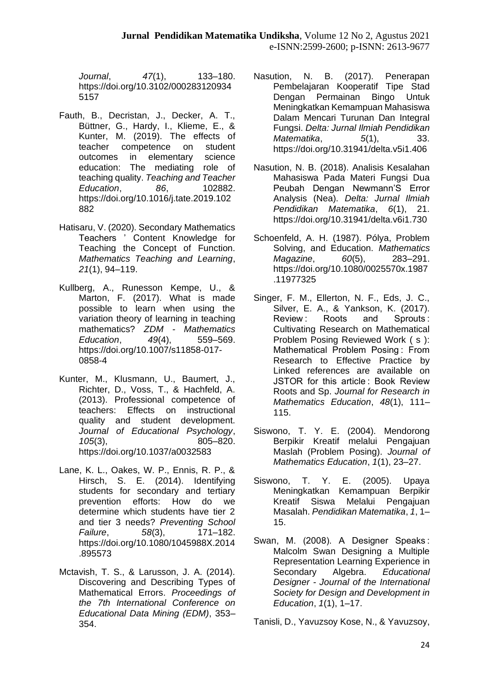*Journal*, *47*(1), 133–180. https://doi.org/10.3102/000283120934 5157

- Fauth, B., Decristan, J., Decker, A. T., Büttner, G., Hardy, I., Klieme, E., & Kunter, M. (2019). The effects of teacher competence on student outcomes in elementary science education: The mediating role of teaching quality. *Teaching and Teacher Education*, *86*, 102882. https://doi.org/10.1016/j.tate.2019.102 882
- Hatisaru, V. (2020). Secondary Mathematics Teachers ' Content Knowledge for Teaching the Concept of Function. *Mathematics Teaching and Learning*, *21*(1), 94–119.
- Kullberg, A., Runesson Kempe, U., & Marton, F. (2017). What is made possible to learn when using the variation theory of learning in teaching mathematics? *ZDM - Mathematics Education*, *49*(4), 559–569. https://doi.org/10.1007/s11858-017- 0858-4
- Kunter, M., Klusmann, U., Baumert, J., Richter, D., Voss, T., & Hachfeld, A. (2013). Professional competence of teachers: Effects on instructional quality and student development. *Journal of Educational Psychology*, *105*(3), 805–820. https://doi.org/10.1037/a0032583
- Lane, K. L., Oakes, W. P., Ennis, R. P., & Hirsch, S. E. (2014). Identifying students for secondary and tertiary prevention efforts: How do we determine which students have tier 2 and tier 3 needs? *Preventing School Failure*, *58*(3), 171–182. https://doi.org/10.1080/1045988X.2014 .895573
- Mctavish, T. S., & Larusson, J. A. (2014). Discovering and Describing Types of Mathematical Errors. *Proceedings of the 7th International Conference on Educational Data Mining (EDM)*, 353– 354.
- Nasution, N. B. (2017). Penerapan Pembelajaran Kooperatif Tipe Stad Dengan Permainan Bingo Untuk Meningkatkan Kemampuan Mahasiswa Dalam Mencari Turunan Dan Integral Fungsi. *Delta: Jurnal Ilmiah Pendidikan Matematika*, *5*(1), 33. https://doi.org/10.31941/delta.v5i1.406
- Nasution, N. B. (2018). Analisis Kesalahan Mahasiswa Pada Materi Fungsi Dua Peubah Dengan Newmann'S Error Analysis (Nea). *Delta: Jurnal Ilmiah Pendidikan Matematika*, *6*(1), 21. https://doi.org/10.31941/delta.v6i1.730
- Schoenfeld, A. H. (1987). Pólya, Problem Solving, and Education. *Mathematics Magazine*, *60*(5), 283–291. https://doi.org/10.1080/0025570x.1987 .11977325
- Singer, F. M., Ellerton, N. F., Eds, J. C., Silver, E. A., & Yankson, K. (2017). Review : Roots and Sprouts : Cultivating Research on Mathematical Problem Posing Reviewed Work ( s ): Mathematical Problem Posing : From Research to Effective Practice by Linked references are available on JSTOR for this article : Book Review Roots and Sp. *Journal for Research in Mathematics Education*, *48*(1), 111– 115.
- Siswono, T. Y. E. (2004). Mendorong Berpikir Kreatif melalui Pengajuan Maslah (Problem Posing). *Journal of Mathematics Education*, *1*(1), 23–27.
- Siswono, T. Y. E. (2005). Upaya Meningkatkan Kemampuan Berpikir Kreatif Siswa Melalui Pengajuan Masalah. *Pendidikan Matematika*, *1*, 1– 15.
- Swan, M. (2008). A Designer Speaks : Malcolm Swan Designing a Multiple Representation Learning Experience in Secondary Algebra. *Educational Designer - Journal of the International Society for Design and Development in Education*, *1*(1), 1–17.

Tanisli, D., Yavuzsoy Kose, N., & Yavuzsoy,